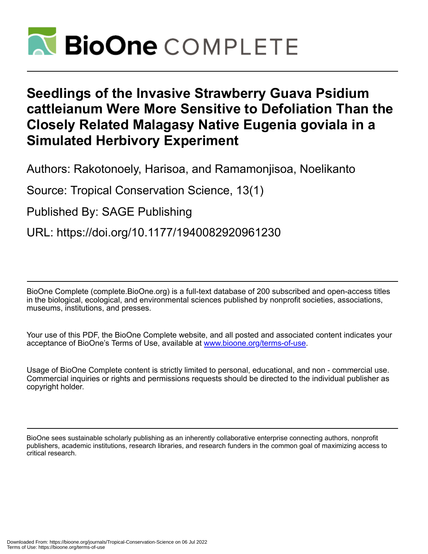

# **Seedlings of the Invasive Strawberry Guava Psidium cattleianum Were More Sensitive to Defoliation Than the Closely Related Malagasy Native Eugenia goviala in a Simulated Herbivory Experiment**

Authors: Rakotonoely, Harisoa, and Ramamonjisoa, Noelikanto

Source: Tropical Conservation Science, 13(1)

Published By: SAGE Publishing

URL: https://doi.org/10.1177/1940082920961230

BioOne Complete (complete.BioOne.org) is a full-text database of 200 subscribed and open-access titles in the biological, ecological, and environmental sciences published by nonprofit societies, associations, museums, institutions, and presses.

Your use of this PDF, the BioOne Complete website, and all posted and associated content indicates your acceptance of BioOne's Terms of Use, available at www.bioone.org/terms-of-use.

Usage of BioOne Complete content is strictly limited to personal, educational, and non - commercial use. Commercial inquiries or rights and permissions requests should be directed to the individual publisher as copyright holder.

BioOne sees sustainable scholarly publishing as an inherently collaborative enterprise connecting authors, nonprofit publishers, academic institutions, research libraries, and research funders in the common goal of maximizing access to critical research.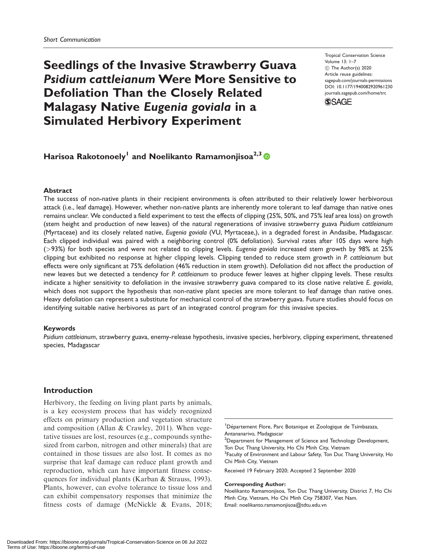## Seedlings of the Invasive Strawberry Guava Psidium cattleianum Were More Sensitive to Defoliation Than the Closely Related Malagasy Native Eugenia goviala in a Simulated Herbivory Experiment

Tropical Conservation Science Volume 13: 1–7 C The Author(s) 2020 Article reuse guidelines: [sagepub.com/journals-permissions](http://us.sagepub.com/en-us/journals-permissions) [DOI: 10.1177/1940082920961230](http://dx.doi.org/10.1177/1940082920961230) <journals.sagepub.com/home/trc>



### Harisoa Rakotonoely<sup>1</sup> and Noelikanto Ramamonjisoa<sup>2,3</sup> (D

#### Abstract

The success of non-native plants in their recipient environments is often attributed to their relatively lower herbivorous attack (i.e., leaf damage). However, whether non-native plants are inherently more tolerant to leaf damage than native ones remains unclear. We conducted a field experiment to test the effects of clipping (25%, 50%, and 75% leaf area loss) on growth (stem height and production of new leaves) of the natural regenerations of invasive strawberry guava Psidium cattleianum (Myrtaceae) and its closely related native, Eugenia goviala (VU, Myrtaceae,), in a degraded forest in Andasibe, Madagascar. Each clipped individual was paired with a neighboring control (0% defoliation). Survival rates after 105 days were high (>93%) for both species and were not related to clipping levels. Eugenia goviala increased stem growth by 98% at 25% clipping but exhibited no response at higher clipping levels. Clipping tended to reduce stem growth in P. cattleianum but effects were only significant at 75% defoliation (46% reduction in stem growth). Defoliation did not affect the production of new leaves but we detected a tendency for P. cattleianum to produce fewer leaves at higher clipping levels. These results indicate a higher sensitivity to defoliation in the invasive strawberry guava compared to its close native relative E. goviala, which does not support the hypothesis that non-native plant species are more tolerant to leaf damage than native ones. Heavy defoliation can represent a substitute for mechanical control of the strawberry guava. Future studies should focus on identifying suitable native herbivores as part of an integrated control program for this invasive species.

#### Keywords

Psidium cattleianum, strawberry guava, enemy-release hypothesis, invasive species, herbivory, clipping experiment, threatened species, Madagascar

#### Introduction

Herbivory, the feeding on living plant parts by animals, is a key ecosystem process that has widely recognized effects on primary production and vegetation structure and composition (Allan & Crawley, 2011). When vegetative tissues are lost, resources (e.g., compounds synthesized from carbon, nitrogen and other minerals) that are contained in those tissues are also lost. It comes as no surprise that leaf damage can reduce plant growth and reproduction, which can have important fitness consequences for individual plants (Karban & Strauss, 1993). Plants, however, can evolve tolerance to tissue loss and can exhibit compensatory responses that minimize the fitness costs of damage (McNickle & Evans, 2018;

<sup>1</sup>Département Flore, Parc Botanique et Zoologique de Tsimbazaza, Antananarivo, Madagascar

<sup>2</sup>Department for Management of Science and Technology Development, Ton Duc Thang University, Ho Chi Minh City, Vietnam

<sup>3</sup> Faculty of Environment and Labour Safety, Ton Duc Thang University, Ho Chi Minh City, Vietnam

Received 19 February 2020; Accepted 2 September 2020

#### Corresponding Author:

Noelikanto Ramamonjisoa, Ton Duc Thang University, District 7, Ho Chi Minh City, Vietnam, Ho Chi Minh City 758307, Viet Nam. Email: [noelikanto.ramamonjisoa@tdtu.edu.vn](mailto:noelikanto.ramamonjisoa@tdtu.edu.vn)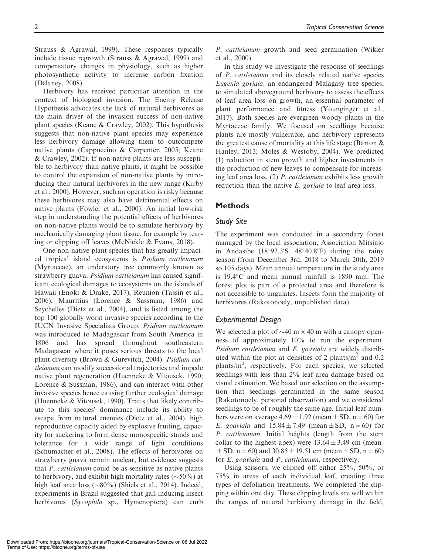Strauss & Agrawal, 1999). These responses typically include tissue regrowth (Strauss & Agrawal, 1999) and compensatory changes in physiology, such as higher photosynthetic activity to increase carbon fixation (Delaney, 2008).

Herbivory has received particular attention in the context of biological invasion. The Enemy Release Hypothesis advocates the lack of natural herbivores as the main driver of the invasion success of non-native plant species (Keane & Crawley, 2002). This hypothesis suggests that non-native plant species may experience less herbivory damage allowing them to outcompete native plants (Cappuccino & Carpenter, 2005; Keane & Crawley, 2002). If non-native plants are less susceptible to herbivory than native plants, it might be possible to control the expansion of non-native plants by introducing their natural herbivores in the new range (Kirby et al., 2000). However, such an operation is risky because these herbivores may also have detrimental effects on native plants (Fowler et al., 2000). An initial low-risk step in understanding the potential effects of herbivores on non-native plants would be to simulate herbivory by mechanically damaging plant tissue, for example by tearing or clipping off leaves (McNickle & Evans, 2018).

One non-native plant species that has greatly impacted tropical island ecosystems is Psidium cattleianum (Myrtaceae), an understory tree commonly known as strawberry guava. Psidium cattleianum has caused significant ecological damages to ecosystems on the islands of Hawaii (Enoki & Drake, 2017), Reunion (Tassin et al., 2006), Mauritius (Lorence & Sussman, 1986) and Seychelles (Dietz et al., 2004), and is listed among the top 100 globally worst invasive species according to the IUCN Invasive Specialists Group. Psidium cattleianum was introduced to Madagascar from South America in 1806 and has spread throughout southeastern Madagascar where it poses serious threats to the local plant diversity (Brown & Gurevitch, 2004). Psidium cattleianum can modify successional trajectories and impede native plant regeneration (Huenneke & Vitousek, 1990; Lorence & Sussman, 1986), and can interact with other invasive species hence causing further ecological damage (Huenneke & Vitousek, 1990). Traits that likely contribute to this species' dominance include its ability to escape from natural enemies (Dietz et al., 2004), high reproductive capacity aided by explosive fruiting, capacity for suckering to form dense monospecific stands and tolerance for a wide range of light conditions (Schumacher et al., 2008). The effects of herbivores on strawberry guava remain unclear, but evidence suggests that P. cattleianum could be as sensitive as native plants to herbivory, and exhibit high mortality rates  $(\sim 50\%)$  at high leaf area loss  $(\sim 80\%)$  (Shiels et al., 2014). Indeed, experiments in Brazil suggested that gall-inducing insect herbivores (Sycophila sp., Hymenoptera) can curb

P. cattleianum growth and seed germination (Wikler et al., 2000).

In this study we investigate the response of seedlings of P. cattleianum and its closely related native species Eugenia goviala, an endangered Malagasy tree species, to simulated aboveground herbivory to assess the effects of leaf area loss on growth, an essential parameter of plant performance and fitness (Younginger et al., 2017). Both species are evergreen woody plants in the Myrtaceae family. We focused on seedlings because plants are mostly vulnerable, and herbivory represents the greatest cause of mortality at this life stage (Barton & Hanley, 2013; Moles & Westoby, 2004). We predicted (1) reduction in stem growth and higher investments in the production of new leaves to compensate for increasing leaf area loss, (2) P. cattleianum exhibits less growth reduction than the native E. goviala to leaf area loss.

#### **Methods**

#### Study Site

The experiment was conducted in a secondary forest managed by the local association, Association Mitsinjo in Andasibe  $(18°92.3'S, 48°40.8'E)$  during the rainy season (from December 3rd, 2018 to March 20th, 2019 so 105 days). Mean annual temperature in the study area is  $19.4^{\circ}$ C and mean annual rainfall is  $1890$  mm. The forest plot is part of a protected area and therefore is not accessible to ungulates. Insects form the majority of herbivores (Rakotonoely, unpublished data).

#### Experimental Design

We selected a plot of  $\sim$ 40 m  $\times$  40 m with a canopy openness of approximately 10% to run the experiment. Psidium cattleianum and E. goaviala are widely distributed within the plot at densities of 2 plants/ $m<sup>2</sup>$  and 0.2 plants/m<sup>2</sup>, respectively. For each species, we selected seedlings with less than 2% leaf area damage based on visual estimation. We based our selection on the assumption that seedlings germinated in the same season (Rakotonoely, personal observation) and we considered seedlings to be of roughly the same age. Initial leaf numbers were on average  $4.69 \pm 1.92$  (mean  $\pm$  SD, n = 60) for E. goaviala and  $15.84 \pm 7.49$  (mean  $\pm$  SD, n = 60) for P. cattleianum. Initial heights (length from the stem collar to the highest apex) were  $13.64 \pm 3.49$  cm (mean- $\pm$  SD, n = 60) and 30.85  $\pm$  19.51 cm (mean  $\pm$  SD, n = 60) for E. goaviala and P. cattleianum, respectively.

Using scissors, we clipped off either 25%, 50%, or 75% in areas of each individual leaf, creating three types of defoliation treatments. We completed the clipping within one day. These clipping levels are well within the ranges of natural herbivory damage in the field,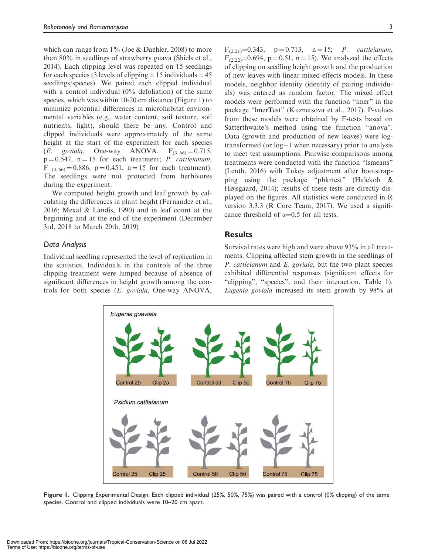which can range from  $1\%$  (Joe & Daehler, 2008) to more than 80% in seedlings of strawberry guava (Shiels et al., 2014). Each clipping level was repeated on 15 seedlings for each species (3 levels of clipping  $\times$  15 individuals = 45 seedlings/species). We paired each clipped individual with a control individual (0% defoliation) of the same species, which was within 10-20 cm distance (Figure 1) to minimize potential differences in microhabitat environmental variables (e.g., water content, soil texture, soil nutrients, light), should there be any. Control and clipped individuals were approximately of the same height at the start of the experiment for each species (E. goviala, One-way ANOVA,  $F_{(3, 60)} = 0.715$ ,  $p = 0.547$ ,  $n = 15$  for each treatment; *P. cattleianum*, F  $_{(3.66)} = 0.886$ , p = 0.451, n = 15 for each treatment). The seedlings were not protected from herbivores during the experiment.

We computed height growth and leaf growth by calculating the differences in plant height (Fernandez et al., 2016; Mexal & Landis, 1990) and in leaf count at the beginning and at the end of the experiment (December 3rd, 2018 to March 20th, 2019)

#### Data Analysis

Individual seedling represented the level of replication in the statistics. Individuals in the controls of the three clipping treatment were lumped because of absence of significant differences in height growth among the controls for both species (E. goviala, One-way ANOVA,

 $F_{(2,21)}=0.343$ ,  $p = 0.713$ ,  $n = 15$ ; *P. cattleianum*,  $F_{(2,22)}=0.694$ , p = 0.51, n = 15). We analyzed the effects of clipping on seedling height growth and the production of new leaves with linear mixed-effects models. In these models, neighbor identity (identity of pairing individuals) was entered as random factor. The mixed effect models were performed with the function "lmer" in the package "lmerTest" (Kuznetsova et al., 2017). P-values from these models were obtained by F-tests based on Satterthwaite's method using the function "anova". Data (growth and production of new leaves) were logtransformed (or  $log+1$  when necessary) prior to analysis to meet test assumptions. Pairwise comparisons among treatments were conducted with the function "lsmeans" (Lenth, 2016) with Tukey adjustment after bootstrapping using the package "pbkrtest" (Halekoh & Højsgaard, 2014); results of these tests are directly displayed on the figures. All statistics were conducted in R version 3.3.3 (R Core Team, 2017). We used a significance threshold of  $\alpha=0.5$  for all tests.

#### **Results**

Survival rates were high and were above 93% in all treatments. Clipping affected stem growth in the seedlings of P. cattleianum and E. goviala, but the two plant species exhibited differential responses (significant effects for "clipping", "species", and their interaction, Table 1). Eugenia goviala increased its stem growth by 98% at



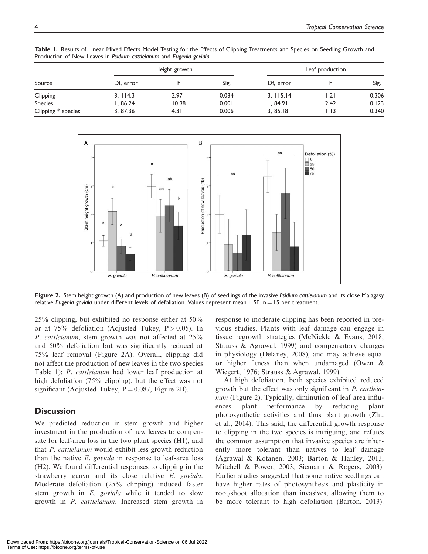Table 1. Results of Linear Mixed Effects Model Testing for the Effects of Clipping Treatments and Species on Seedling Growth and Production of New Leaves in Psidium cattleianum and Eugenia goviala.

| Source             | Height growth |       |       | Leaf production |      |       |
|--------------------|---------------|-------|-------|-----------------|------|-------|
|                    | Df, error     |       | Sig.  | Df, error       |      | Sig.  |
| Clipping           | 3, 114.3      | 2.97  | 0.034 | 3, 115.14       | l.21 | 0.306 |
| Species            | l, 86.24      | 10.98 | 0.001 | I, 84.91        | 2.42 | 0.123 |
| Clipping * species | 3, 87.36      | 4.31  | 0.006 | 3, 85.18        | 1.13 | 0.340 |



Figure 2. Stem height growth (A) and production of new leaves (B) of seedlings of the invasive Psidium cattleianum and its close Malagasy relative Eugenia goviala under different levels of defoliation. Values represent mean  $\pm$  SE. n = 15 per treatment.

25% clipping, but exhibited no response either at 50% or at 75% defoliation (Adjusted Tukey,  $P > 0.05$ ). In P. cattleianum, stem growth was not affected at 25% and 50% defoliation but was significantly reduced at 75% leaf removal (Figure 2A). Overall, clipping did not affect the production of new leaves in the two species Table 1); P. cattleianum had lower leaf production at high defoliation (75% clipping), but the effect was not significant (Adjusted Tukey,  $P = 0.087$ , Figure 2B).

#### **Discussion**

We predicted reduction in stem growth and higher investment in the production of new leaves to compensate for leaf-area loss in the two plant species (H1), and that P. cattleianum would exhibit less growth reduction than the native  $E$ . goviala in response to leaf-area loss (H2). We found differential responses to clipping in the strawberry guava and its close relative E. goviala. Moderate defoliation (25% clipping) induced faster stem growth in E. goviala while it tended to slow growth in P. cattleianum. Increased stem growth in

response to moderate clipping has been reported in previous studies. Plants with leaf damage can engage in tissue regrowth strategies (McNickle & Evans, 2018; Strauss & Agrawal, 1999) and compensatory changes in physiology (Delaney, 2008), and may achieve equal or higher fitness than when undamaged (Owen & Wiegert, 1976; Strauss & Agrawal, 1999).

At high defoliation, both species exhibited reduced growth but the effect was only significant in P. cattleianum (Figure 2). Typically, diminution of leaf area influences plant performance by reducing plant photosynthetic activities and thus plant growth (Zhu et al., 2014). This said, the differential growth response to clipping in the two species is intriguing, and refutes the common assumption that invasive species are inherently more tolerant than natives to leaf damage (Agrawal & Kotanen, 2003; Barton & Hanley, 2013; Mitchell & Power, 2003; Siemann & Rogers, 2003). Earlier studies suggested that some native seedlings can have higher rates of photosynthesis and plasticity in root/shoot allocation than invasives, allowing them to be more tolerant to high defoliation (Barton, 2013).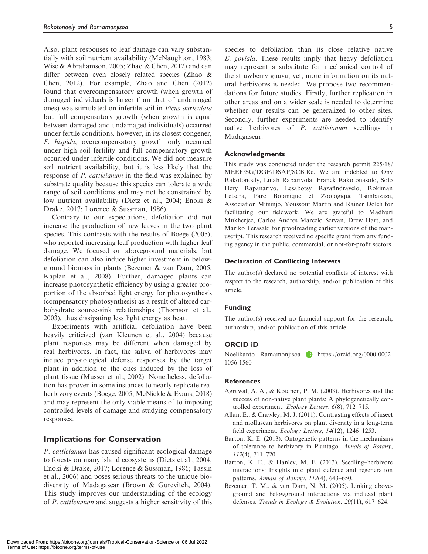Also, plant responses to leaf damage can vary substantially with soil nutrient availability (McNaughton, 1983; Wise & Abrahamson, 2005; Zhao & Chen, 2012) and can differ between even closely related species (Zhao & Chen, 2012). For example, Zhao and Chen (2012) found that overcompensatory growth (when growth of damaged individuals is larger than that of undamaged ones) was stimulated on infertile soil in Ficus auriculata but full compensatory growth (when growth is equal between damaged and undamaged individuals) occurred under fertile conditions. however, in its closest congener, F. hispida, overcompensatory growth only occurred under high soil fertility and full compensatory growth occurred under infertile conditions. We did not measure soil nutrient availability, but it is less likely that the response of P. cattleianum in the field was explained by substrate quality because this species can tolerate a wide range of soil conditions and may not be constrained by low nutrient availability (Dietz et al., 2004; Enoki & Drake, 2017; Lorence & Sussman, 1986).

Contrary to our expectations, defoliation did not increase the production of new leaves in the two plant species. This contrasts with the results of Boege (2005), who reported increasing leaf production with higher leaf damage. We focused on aboveground materials, but defoliation can also induce higher investment in belowground biomass in plants (Bezemer & van Dam, 2005; Kaplan et al., 2008). Further, damaged plants can increase photosynthetic efficiency by using a greater proportion of the absorbed light energy for photosynthesis (compensatory photosynthesis) as a result of altered carbohydrate source-sink relationships (Thomson et al., 2003), thus dissipating less light energy as heat.

Experiments with artificial defoliation have been heavily criticized (van Kleunen et al., 2004) because plant responses may be different when damaged by real herbivores. In fact, the saliva of herbivores may induce physiological defense responses by the target plant in addition to the ones induced by the loss of plant tissue (Musser et al., 2002). Nonetheless, defoliation has proven in some instances to nearly replicate real herbivory events (Boege, 2005; McNickle & Evans, 2018) and may represent the only viable means of to imposing controlled levels of damage and studying compensatory responses.

#### Implications for Conservation

P. cattleianum has caused significant ecological damage to forests on many island ecosystems (Dietz et al., 2004; Enoki & Drake, 2017; Lorence & Sussman, 1986; Tassin et al., 2006) and poses serious threats to the unique biodiversity of Madagascar (Brown & Gurevitch, 2004). This study improves our understanding of the ecology of P. cattleianum and suggests a higher sensitivity of this

species to defoliation than its close relative native E. goviala. These results imply that heavy defoliation may represent a substitute for mechanical control of the strawberry guava; yet, more information on its natural herbivores is needed. We propose two recommendations for future studies. Firstly, further replication in other areas and on a wider scale is needed to determine whether our results can be generalized to other sites. Secondly, further experiments are needed to identify native herbivores of P. cattleianum seedlings in Madagascar.

#### Acknowledgments

This study was conducted under the research permit 225/18/ MEEF/SG/DGF/DSAP/SCB.Re. We are indebted to Ony Rakotonoely, Linah Rabarivola, Franck Rakotonasolo, Solo Hery Rapanarivo, Lesabotsy Razafindravelo, Rokiman Letsara, Parc Botanique et Zoologique Tsimbazaza, Association Mitsinjo, Youssouf Martin and Rainer Dolch for facilitating our fieldwork. We are grateful to Madhuri Mukherjee, Carlos Andres Marcelo Servàn, Drew Hart, and Mariko Terasaki for proofreading earlier versions of the manuscript. This research received no specific grant from any funding agency in the public, commercial, or not-for-profit sectors.

#### Declaration of Conflicting Interests

The author(s) declared no potential conflicts of interest with respect to the research, authorship, and/or publication of this article.

#### Funding

The author(s) received no financial support for the research, authorship, and/or publication of this article.

#### ORCID iD

Noelikanto Ramamonjisoa **D** [https://orcid.org/0000-0002-](https://orcid.org/0000-0002-1056-1560) [1056-1560](https://orcid.org/0000-0002-1056-1560)

#### **References**

- Agrawal, A. A., & Kotanen, P. M. (2003). Herbivores and the success of non-native plant plants: A phylogenetically controlled experiment. Ecology Letters, 6(8), 712–715.
- Allan, E., & Crawley, M. J. (2011). Contrasting effects of insect and molluscan herbivores on plant diversity in a long-term field experiment. Ecology Letters, 14(12), 1246–1253.
- Barton, K. E. (2013). Ontogenetic patterns in the mechanisms of tolerance to herbivory in Plantago. Annals of Botany, 112(4), 711–720.
- Barton, K. E., & Hanley, M. E. (2013). Seedling–herbivore interactions: Insights into plant defence and regeneration patterns. Annals of Botany, 112(4), 643–650.
- Bezemer, T. M., & van Dam, N. M. (2005). Linking aboveground and belowground interactions via induced plant defenses. Trends in Ecology & Evolution, 20(11), 617–624.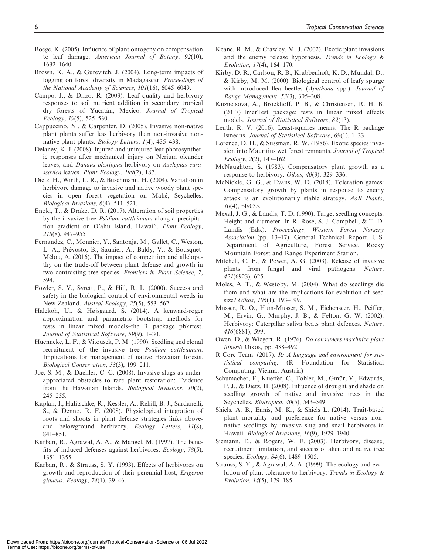- Boege, K. (2005). Influence of plant ontogeny on compensation to leaf damage. American Journal of Botany, 92(10), 1632–1640.
- Brown, K. A., & Gurevitch, J. (2004). Long-term impacts of logging on forest diversity in Madagascar. Proceedings of the National Academy of Sciences, 101(16), 6045–6049.
- Campo, J., & Dirzo, R. (2003). Leaf quality and herbivory responses to soil nutrient addition in secondary tropical dry forests of Yucatán, Mexico. Journal of Tropical Ecology, 19(5), 525–530.
- Cappuccino, N., & Carpenter, D. (2005). Invasive non-native plant plants suffer less herbivory than non-invasive nonnative plant plants. Biology Letters, 1(4), 435–438.
- Delaney, K. J. (2008). Injured and uninjured leaf photosynthetic responses after mechanical injury on Nerium oleander leaves, and Danaus plexippus herbivory on Asclepias curassavica leaves. Plant Ecology, 199(2), 187.
- Dietz, H., Wirth, L. R., & Buschmann, H. (2004). Variation in herbivore damage to invasive and native woody plant species in open forest vegetation on Mahe, Seychelles. Biological Invasions, 6(4), 511–521.
- Enoki, T., & Drake, D. R. (2017). Alteration of soil properties by the invasive tree Psidium cattleianum along a precipitation gradient on O'ahu Island, Hawai'i. Plant Ecology, 218(8), 947–955
- Fernandez, C., Monnier, Y., Santonja, M., Gallet, C., Weston, L. A., Prévosto, B., Saunier, A., Baldy, V., & Bousquet-Melou, A. (2016). The impact of competition and allelopathy on the trade-off between plant defense and growth in two contrasting tree species. Frontiers in Plant Science, 7, 594.
- Fowler, S. V., Syrett, P., & Hill, R. L. (2000). Success and safety in the biological control of environmental weeds in New Zealand. Austral Ecology, 25(5), 553–562.
- Halekoh, U., & Højsgaard, S. (2014). A kenward-roger approximation and parametric bootstrap methods for tests in linear mixed models–the R package pbkrtest. Journal of Statistical Software, 59(9), 1–30.
- Huenneke, L. F., & Vitousek, P. M. (1990). Seedling and clonal recruitment of the invasive tree Psidium cattleianum: Implications for management of native Hawaiian forests. Biological Conservation, 53(3), 199–211.
- Joe, S. M., & Daehler, C. C. (2008). Invasive slugs as underappreciated obstacles to rare plant restoration: Evidence from the Hawaiian Islands. Biological Invasions, 10(2), 245–255.
- Kaplan, I., Halitschke, R., Kessler, A., Rehill, B. J., Sardanelli, S., & Denno, R. F. (2008). Physiological integration of roots and shoots in plant defense strategies links aboveand belowground herbivory. Ecology Letters, 11(8), 841–851.
- Karban, R., Agrawal, A. A., & Mangel, M. (1997). The benefits of induced defenses against herbivores. Ecology, 78(5), 1351–1355.
- Karban, R., & Strauss, S. Y. (1993). Effects of herbivores on growth and reproduction of their perennial host, Erigeron glaucus. Ecology, 74(1), 39–46.
- Keane, R. M., & Crawley, M. J. (2002). Exotic plant invasions and the enemy release hypothesis. Trends in Ecology & Evolution, 17(4), 164–170.
- Kirby, D. R., Carlson, R. B., Krabbenhoft, K. D., Mundal, D., & Kirby, M. M. (2000). Biological control of leafy spurge with introduced flea beetles (Aphthona spp.). Journal of Range Management, 53(3), 305–308.
- Kuznetsova, A., Brockhoff, P. B., & Christensen, R. H. B. (2017) lmerTest package: tests in linear mixed effects models. Journal of Statistical Software, 82(13).
- Lenth, R. V. (2016). Least-squares means: The R package lsmeans. Journal of Statistical Software, 69(1), 1–33.
- Lorence, D. H., & Sussman, R. W. (1986). Exotic species invasion into Mauritius wet forest remnants. Journal of Tropical Ecology, 2(2), 147–162.
- McNaughton, S. (1983). Compensatory plant growth as a response to herbivory. Oikos, 40(3), 329–336.
- McNickle, G. G., & Evans, W. D. (2018). Toleration games: Compensatory growth by plants in response to enemy attack is an evolutionarily stable strategy. AoB Plants,  $10(4)$ , ply035.
- Mexal, J. G., & Landis, T. D. (1990). Target seedling concepts: Height and diameter. In R. Rose, S. J. Campbell, & T. D. Landis (Eds.), Proceedings, Western Forest Nursery Association (pp. 13–17). General Technical Report. U.S. Department of Agriculture, Forest Service, Rocky Mountain Forest and Range Experiment Station.
- Mitchell, C. E., & Power, A. G. (2003). Release of invasive plants from fungal and viral pathogens. Nature, 421(6923), 625.
- Moles, A. T., & Westoby, M. (2004). What do seedlings die from and what are the implications for evolution of seed size? *Oikos*, *106*(1), 193-199.
- Musser, R. O., Hum-Musser, S. M., Eichenseer, H., Peiffer, M., Ervin, G., Murphy, J. B., & Felton, G. W. (2002). Herbivory: Caterpillar saliva beats plant defences. Nature, 416(6881), 599.
- Owen, D., & Wiegert, R. (1976). Do consumers maximize plant fitness? Oikos, pp. 488–492.
- R Core Team. (2017). R: A language and environment for statistical computing. (R Foundation for Statistical Computing: Vienna, Austria)
- Schumacher, E., Kueffer, C., Tobler, M., Gmür, V., Edwards, P. J., & Dietz, H. (2008). Influence of drought and shade on seedling growth of native and invasive trees in the Seychelles. Biotropica, 40(5), 543–549.
- Shiels, A. B., Ennis, M. K., & Shiels L. (2014). Trait-based plant mortality and preference for native versus nonnative seedlings by invasive slug and snail herbivores in Hawaii. Biological Invasions, 16(9), 1929–1940.
- Siemann, E., & Rogers, W. E. (2003). Herbivory, disease, recruitment limitation, and success of alien and native tree species. *Ecology*, 84(6), 1489–1505.
- Strauss, S. Y., & Agrawal, A. A. (1999). The ecology and evolution of plant tolerance to herbivory. Trends in Ecology & Evolution, 14(5), 179–185.